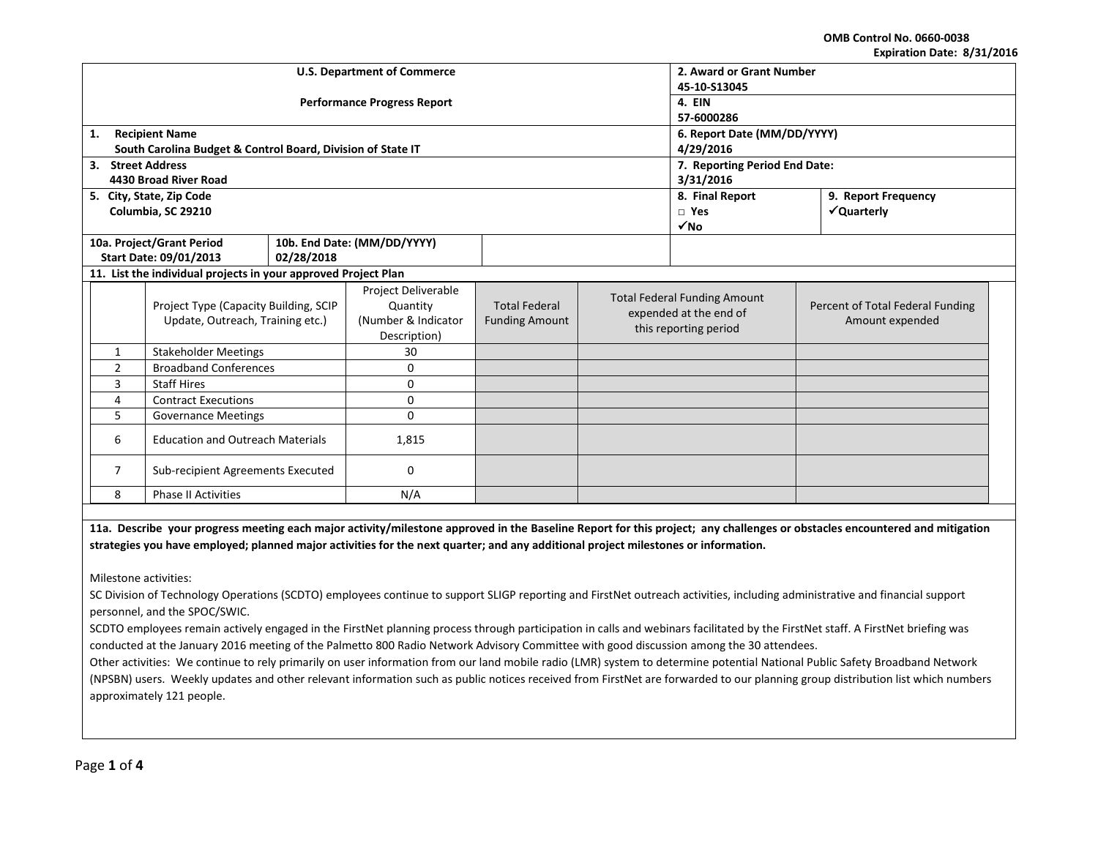**OMB Control No. 0660-0038 Expiration Date: 8/31/2016**

| LANII QUUII DALC. 0/ JI/ LUIL                                             |                                                                |                                                                        |                                               |  |                                                                                        |                                                     |                     |  |
|---------------------------------------------------------------------------|----------------------------------------------------------------|------------------------------------------------------------------------|-----------------------------------------------|--|----------------------------------------------------------------------------------------|-----------------------------------------------------|---------------------|--|
|                                                                           |                                                                | <b>U.S. Department of Commerce</b>                                     | 2. Award or Grant Number                      |  |                                                                                        |                                                     |                     |  |
|                                                                           |                                                                |                                                                        | 45-10-S13045                                  |  |                                                                                        |                                                     |                     |  |
|                                                                           |                                                                | <b>Performance Progress Report</b>                                     | 4. EIN                                        |  |                                                                                        |                                                     |                     |  |
|                                                                           |                                                                |                                                                        | 57-6000286                                    |  |                                                                                        |                                                     |                     |  |
| 1.                                                                        | <b>Recipient Name</b>                                          |                                                                        |                                               |  |                                                                                        | 6. Report Date (MM/DD/YYYY)                         |                     |  |
|                                                                           | South Carolina Budget & Control Board, Division of State IT    |                                                                        |                                               |  |                                                                                        | 4/29/2016                                           |                     |  |
| 3. Street Address                                                         |                                                                |                                                                        |                                               |  |                                                                                        | 7. Reporting Period End Date:                       |                     |  |
|                                                                           | 4430 Broad River Road                                          |                                                                        |                                               |  |                                                                                        | 3/31/2016                                           |                     |  |
|                                                                           | 5. City, State, Zip Code                                       |                                                                        |                                               |  | 8. Final Report                                                                        |                                                     | 9. Report Frequency |  |
|                                                                           | Columbia, SC 29210                                             |                                                                        |                                               |  |                                                                                        | $\Box$ Yes                                          | √Quarterly          |  |
|                                                                           |                                                                |                                                                        |                                               |  |                                                                                        | $\sqrt{NQ}$                                         |                     |  |
|                                                                           | 10a. Project/Grant Period                                      |                                                                        | 10b. End Date: (MM/DD/YYYY)                   |  |                                                                                        |                                                     |                     |  |
|                                                                           | Start Date: 09/01/2013                                         | 02/28/2018                                                             |                                               |  |                                                                                        |                                                     |                     |  |
|                                                                           | 11. List the individual projects in your approved Project Plan |                                                                        |                                               |  |                                                                                        |                                                     |                     |  |
| Project Type (Capacity Building, SCIP<br>Update, Outreach, Training etc.) |                                                                | Project Deliverable<br>Quantity<br>(Number & Indicator<br>Description) | <b>Total Federal</b><br><b>Funding Amount</b> |  | <b>Total Federal Funding Amount</b><br>expended at the end of<br>this reporting period | Percent of Total Federal Funding<br>Amount expended |                     |  |
| $\mathbf{1}$                                                              | <b>Stakeholder Meetings</b>                                    |                                                                        | 30                                            |  |                                                                                        |                                                     |                     |  |
| 2                                                                         | <b>Broadband Conferences</b>                                   |                                                                        | 0                                             |  |                                                                                        |                                                     |                     |  |
| 3                                                                         | <b>Staff Hires</b>                                             |                                                                        | 0                                             |  |                                                                                        |                                                     |                     |  |
| <b>Contract Executions</b><br>4                                           |                                                                | 0                                                                      |                                               |  |                                                                                        |                                                     |                     |  |
| 5.<br><b>Governance Meetings</b>                                          |                                                                | 0                                                                      |                                               |  |                                                                                        |                                                     |                     |  |
| <b>Education and Outreach Materials</b><br>6                              |                                                                | 1,815                                                                  |                                               |  |                                                                                        |                                                     |                     |  |
| 7<br>Sub-recipient Agreements Executed                                    |                                                                | 0                                                                      |                                               |  |                                                                                        |                                                     |                     |  |
| N/A<br>8<br><b>Phase II Activities</b>                                    |                                                                |                                                                        |                                               |  |                                                                                        |                                                     |                     |  |
|                                                                           |                                                                |                                                                        |                                               |  |                                                                                        |                                                     |                     |  |

**11a. Describe your progress meeting each major activity/milestone approved in the Baseline Report for this project; any challenges or obstacles encountered and mitigation strategies you have employed; planned major activities for the next quarter; and any additional project milestones or information.**

Milestone activities:

SC Division of Technology Operations (SCDTO) employees continue to support SLIGP reporting and FirstNet outreach activities, including administrative and financial support personnel, and the SPOC/SWIC.

SCDTO employees remain actively engaged in the FirstNet planning process through participation in calls and webinars facilitated by the FirstNet staff. A FirstNet briefing was conducted at the January 2016 meeting of the Palmetto 800 Radio Network Advisory Committee with good discussion among the 30 attendees.

Other activities: We continue to rely primarily on user information from our land mobile radio (LMR) system to determine potential National Public Safety Broadband Network (NPSBN) users. Weekly updates and other relevant information such as public notices received from FirstNet are forwarded to our planning group distribution list which numbers approximately 121 people.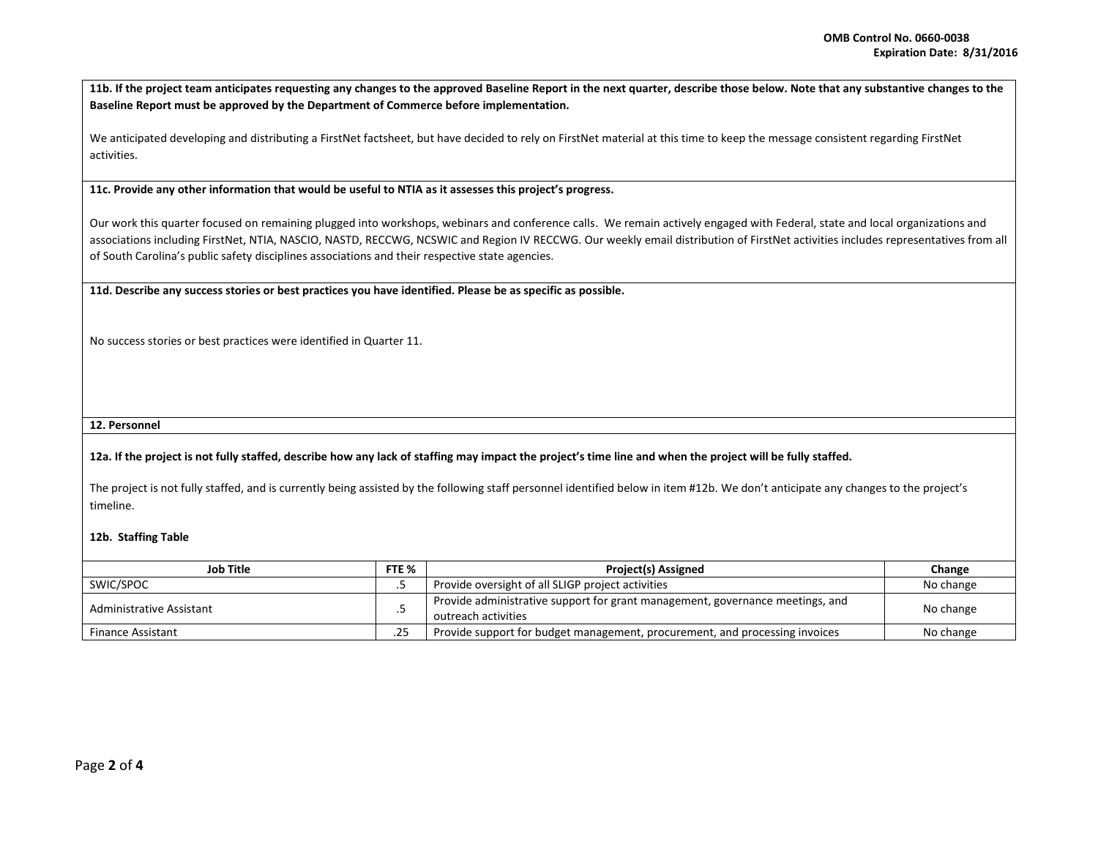**11b. If the project team anticipates requesting any changes to the approved Baseline Report in the next quarter, describe those below. Note that any substantive changes to the Baseline Report must be approved by the Department of Commerce before implementation.**

We anticipated developing and distributing a FirstNet factsheet, but have decided to rely on FirstNet material at this time to keep the message consistent regarding FirstNet activities.

**11c. Provide any other information that would be useful to NTIA as it assesses this project's progress.** 

Our work this quarter focused on remaining plugged into workshops, webinars and conference calls. We remain actively engaged with Federal, state and local organizations and associations including FirstNet, NTIA, NASCIO, NASTD, RECCWG, NCSWIC and Region IV RECCWG. Our weekly email distribution of FirstNet activities includes representatives from all of South Carolina's public safety disciplines associations and their respective state agencies.

**11d. Describe any success stories or best practices you have identified. Please be as specific as possible.**

No success stories or best practices were identified in Quarter 11.

### **12. Personnel**

## **12a. If the project is not fully staffed, describe how any lack of staffing may impact the project's time line and when the project will be fully staffed.**

The project is not fully staffed, and is currently being assisted by the following staff personnel identified below in item #12b. We don't anticipate any changes to the project's timeline.

#### **12b. Staffing Table**

| Job Title                |     | <b>Project(s) Assigned</b>                                                                           | Change    |
|--------------------------|-----|------------------------------------------------------------------------------------------------------|-----------|
| SWIC/SPOC                |     | Provide oversight of all SLIGP project activities                                                    | No change |
| Administrative Assistant |     | Provide administrative support for grant management, governance meetings, and<br>outreach activities | No change |
| <b>Finance Assistant</b> | .25 | Provide support for budget management, procurement, and processing invoices                          | No change |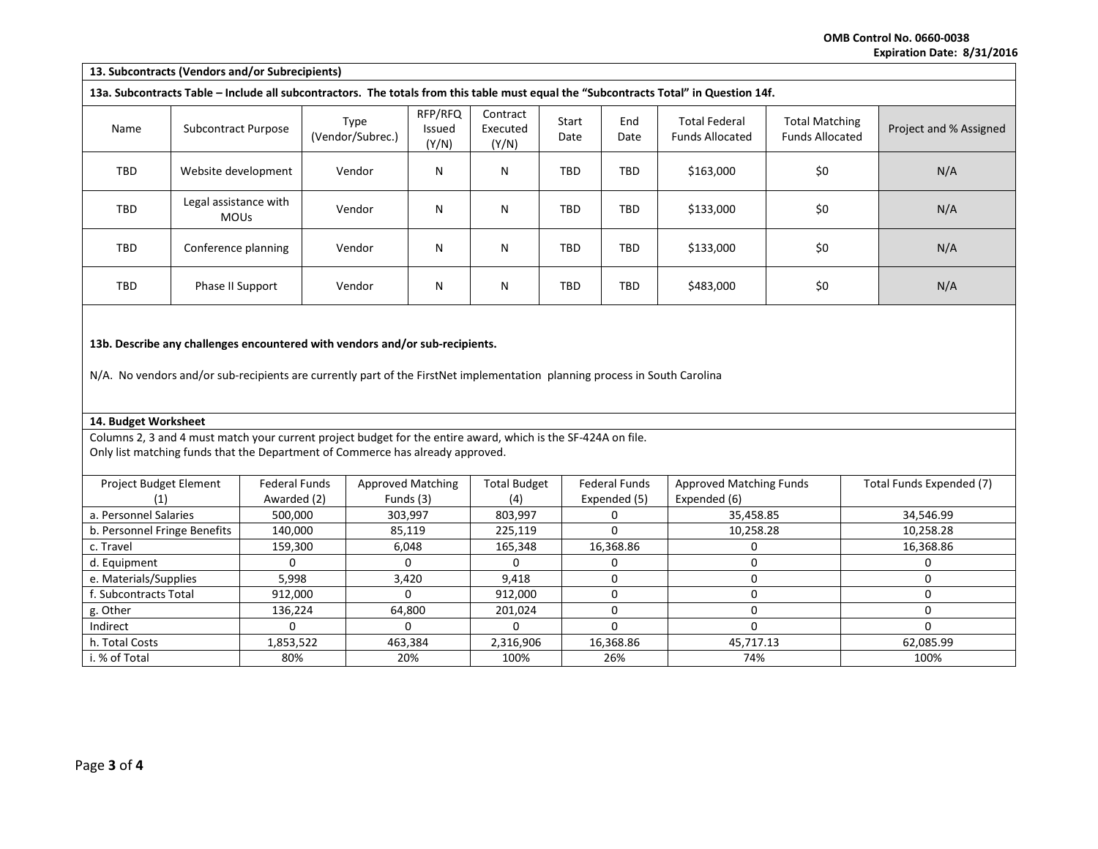**OMB Control No. 0660-0038 Expiration Date: 8/31/2016**

| 13. Subcontracts (Vendors and/or Subrecipients)                                                                                       |                                      |                          |                                   |                               |               |             |                                                |                                                 |                        |
|---------------------------------------------------------------------------------------------------------------------------------------|--------------------------------------|--------------------------|-----------------------------------|-------------------------------|---------------|-------------|------------------------------------------------|-------------------------------------------------|------------------------|
| 13a. Subcontracts Table – Include all subcontractors. The totals from this table must equal the "Subcontracts Total" in Question 14f. |                                      |                          |                                   |                               |               |             |                                                |                                                 |                        |
| Name                                                                                                                                  | <b>Subcontract Purpose</b>           | Type<br>(Vendor/Subrec.) | RFP/RFQ<br><b>Issued</b><br>(Y/N) | Contract<br>Executed<br>(Y/N) | Start<br>Date | End<br>Date | <b>Total Federal</b><br><b>Funds Allocated</b> | <b>Total Matching</b><br><b>Funds Allocated</b> | Project and % Assigned |
| TBD                                                                                                                                   | Website development                  | Vendor                   | N                                 | N                             | TBD           | TBD         | \$163,000                                      | \$0                                             | N/A                    |
| TBD                                                                                                                                   | Legal assistance with<br><b>MOUs</b> | Vendor                   | N                                 | N                             | TBD           | TBD         | \$133,000                                      | \$0                                             | N/A                    |
| <b>TBD</b>                                                                                                                            | Conference planning                  | Vendor                   | N                                 | N                             | TBD           | <b>TBD</b>  | \$133,000                                      | \$0                                             | N/A                    |
| TBD                                                                                                                                   | Phase II Support                     | Vendor                   | N                                 | N                             | TBD           | TBD         | \$483,000                                      | \$0                                             | N/A                    |
| 13b. Describe any challenges encountered with vendors and/or sub-recipients.                                                          |                                      |                          |                                   |                               |               |             |                                                |                                                 |                        |

N/A. No vendors and/or sub-recipients are currently part of the FirstNet implementation planning process in South Carolina

# **14. Budget Worksheet**

Columns 2, 3 and 4 must match your current project budget for the entire award, which is the SF-424A on file. Only list matching funds that the Department of Commerce has already approved.

| <b>Project Budget Element</b> | <b>Federal Funds</b> | <b>Approved Matching</b> | <b>Total Budget</b> | <b>Federal Funds</b> | <b>Approved Matching Funds</b> | Total Funds Expended (7) |
|-------------------------------|----------------------|--------------------------|---------------------|----------------------|--------------------------------|--------------------------|
|                               | Awarded (2)          | Funds (3)                | (4)                 | Expended (5)         | Expended (6)                   |                          |
| a. Personnel Salaries         | 500,000              | 303,997                  | 803,997             | м.                   | 35,458.85                      | 34,546.99                |
| b. Personnel Fringe Benefits  | 140,000              | 85,119                   | 225,119             | U                    | 10,258.28                      | 10,258.28                |
| c. Travel                     | 159,300              | 6,048                    | 165,348             | 16,368.86            |                                | 16,368.86                |
| d. Equipment                  |                      |                          |                     |                      |                                |                          |
| e. Materials/Supplies         | 5,998                | 3,420                    | 9.418               |                      |                                |                          |
| f. Subcontracts Total         | 912,000              |                          | 912,000             |                      |                                |                          |
| g. Other                      | 136.224              | 64.800                   | 201,024             |                      |                                |                          |
| Indirect                      |                      |                          |                     |                      |                                |                          |
| h. Total Costs                | 1,853,522            | 463,384                  | 2,316,906           | 16,368.86            | 45.717.13                      | 62.085.99                |
| i. % of Total                 | 80%                  | 20%                      | 100%                | 26%                  | 74%                            | 100%                     |